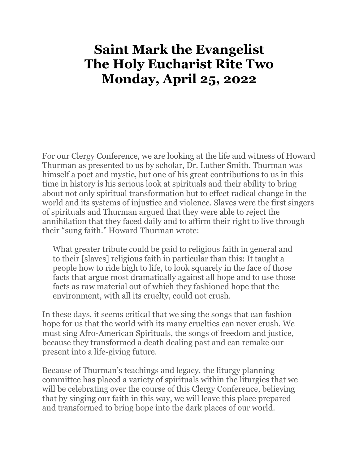# **Saint Mark the Evangelist The Holy Eucharist Rite Two Monday, April 25, 2022**

For our Clergy Conference, we are looking at the life and witness of Howard Thurman as presented to us by scholar, Dr. Luther Smith. Thurman was himself a poet and mystic, but one of his great contributions to us in this time in history is his serious look at spirituals and their ability to bring about not only spiritual transformation but to effect radical change in the world and its systems of injustice and violence. Slaves were the first singers of spirituals and Thurman argued that they were able to reject the annihilation that they faced daily and to affirm their right to live through their "sung faith." Howard Thurman wrote:

What greater tribute could be paid to religious faith in general and to their [slaves] religious faith in particular than this: It taught a people how to ride high to life, to look squarely in the face of those facts that argue most dramatically against all hope and to use those facts as raw material out of which they fashioned hope that the environment, with all its cruelty, could not crush.

In these days, it seems critical that we sing the songs that can fashion hope for us that the world with its many cruelties can never crush. We must sing Afro-American Spirituals, the songs of freedom and justice, because they transformed a death dealing past and can remake our present into a life-giving future.

Because of Thurman's teachings and legacy, the liturgy planning committee has placed a variety of spirituals within the liturgies that we will be celebrating over the course of this Clergy Conference, believing that by singing our faith in this way, we will leave this place prepared and transformed to bring hope into the dark places of our world.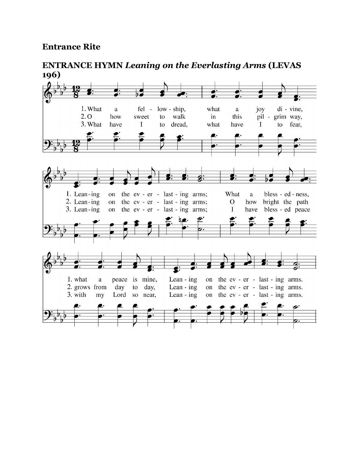#### **Entrance Rite**

#### 1. What low - ship, what di - vine,  $\mathbf{a}$  $fel \mathbf{a}$ joy  $2.0$ how sweet  $\mathsf{to}$ walk  $in$ this pil - grim way, 3. What have  $\bf I$ to dread, what have  $\mathbf{I}$ to fear, 1. Lean-ing the ev - er - last - ing arms; What bless - ed - ness, on  $\mathbf{a}$ 2. Lean-ing on the ev - er - last - ing arms;  $\overline{O}$ how bright the path 3. Lean-ing on the ev - er - last - ing arms;  $\bf I$ have bless - ed peace 1. what  $\mathbf{a}$ peace is mine, Lean -  $ing$ on the ev - er - last - ing arms. 2. grows from Lean -  $ing$ on the ev - er - last - ing arms. day to day, 3. with my Lord so near, Lean -  $ing$ on the ev - er - last - ing arms.

**ENTRANCE HYMN** *Leaning on the Everlasting Arms* **(LEVAS 196)**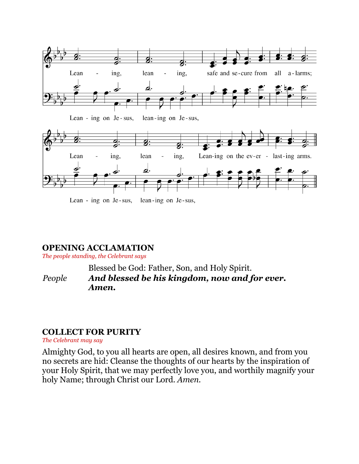

#### **OPENING ACCLAMATION**

*The people standing, the Celebrant says*

Blessed be God: Father, Son, and Holy Spirit. *People And blessed be his kingdom, now and for ever. Amen.*

#### **COLLECT FOR PURITY**

*The Celebrant may say*

Almighty God, to you all hearts are open, all desires known, and from you no secrets are hid: Cleanse the thoughts of our hearts by the inspiration of your Holy Spirit, that we may perfectly love you, and worthily magnify your holy Name; through Christ our Lord. *Amen.*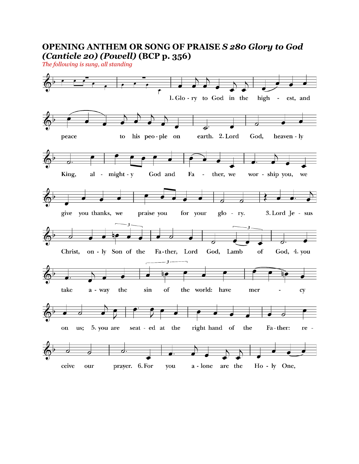### **OPENING ANTHEM OR SONG OF PRAISE** *S 280 Glory to God (Canticle 20) (Powell)* **(BCP p. 356)**

*The following is sung, all standing*

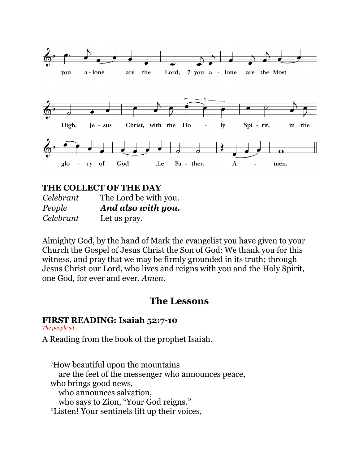

#### **THE COLLECT OF THE DAY**

| Celebrant | The Lord be with you. |
|-----------|-----------------------|
| People    | And also with you.    |
| Celebrant | Let us pray.          |

Almighty God, by the hand of Mark the evangelist you have given to your Church the Gospel of Jesus Christ the Son of God: We thank you for this witness, and pray that we may be firmly grounded in its truth; through Jesus Christ our Lord, who lives and reigns with you and the Holy Spirit, one God, for ever and ever. *Amen*.

### **The Lessons**

#### **FIRST READING: Isaiah 52:7-10**

*The people sit.*

A Reading from the book of the prophet Isaiah.

<sup>7</sup>How beautiful upon the mountains are the feet of the messenger who announces peace, who brings good news, who announces salvation, who says to Zion, "Your God reigns." 8Listen! Your sentinels lift up their voices,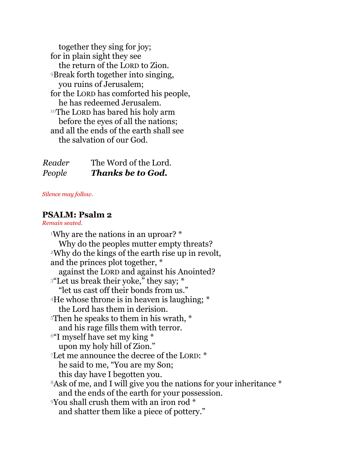together they sing for joy; for in plain sight they see the return of the LORD to Zion. <sup>9</sup>Break forth together into singing, you ruins of Jerusalem; for the LORD has comforted his people, he has redeemed Jerusalem. <sup>10</sup>The LORD has bared his holy arm before the eyes of all the nations; and all the ends of the earth shall see the salvation of our God.

| Reader | The Word of the Lord.    |
|--------|--------------------------|
| People | <b>Thanks be to God.</b> |

#### *Silence may follow.*

#### **PSALM: Psalm 2**

*Remain seated.*

<sup>1</sup>Why are the nations in an uproar? \* Why do the peoples mutter empty threats? <sup>2</sup>Why do the kings of the earth rise up in revolt, and the princes plot together, \* against the LORD and against his Anointed? <sup>3</sup>"Let us break their yoke," they say; \* "let us cast off their bonds from us." <sup>4</sup>He whose throne is in heaven is laughing; \* the Lord has them in derision. <sup>5</sup>Then he speaks to them in his wrath, \* and his rage fills them with terror. <sup>6"</sup>I myself have set my king \* upon my holy hill of Zion." <sup>7</sup>Let me announce the decree of the LORD: \* he said to me, "You are my Son; this day have I begotten you. 8Ask of me, and I will give you the nations for your inheritance \* and the ends of the earth for your possession. <sup>9</sup>You shall crush them with an iron rod \* and shatter them like a piece of pottery."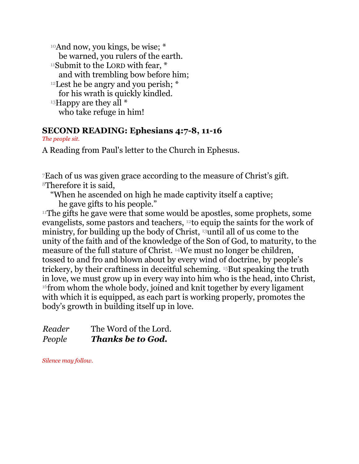<sup>10</sup>And now, you kings, be wise; \* be warned, you rulers of the earth.  $11$ Submit to the LORD with fear,  $*$ and with trembling bow before him; <sup>12</sup> Lest he be angry and you perish;  $*$ for his wrath is quickly kindled.  $13$ Happy are they all  $*$ who take refuge in him!

### **SECOND READING: Ephesians 4:7-8, 11-16**

*The people sit.*

A Reading from Paul's letter to the Church in Ephesus.

<sup>7</sup>Each of us was given grace according to the measure of Christ's gift. <sup>8</sup>Therefore it is said,

"When he ascended on high he made captivity itself a captive; he gave gifts to his people."

 $11$ The gifts he gave were that some would be apostles, some prophets, some evangelists, some pastors and teachers, 12to equip the saints for the work of ministry, for building up the body of Christ, 13until all of us come to the unity of the faith and of the knowledge of the Son of God, to maturity, to the measure of the full stature of Christ. 14We must no longer be children, tossed to and fro and blown about by every wind of doctrine, by people's trickery, by their craftiness in deceitful scheming. 15But speaking the truth in love, we must grow up in every way into him who is the head, into Christ, <sup>16</sup> from whom the whole body, joined and knit together by every ligament with which it is equipped, as each part is working properly, promotes the body's growth in building itself up in love.

*Reader* The Word of the Lord. *People Thanks be to God.*

*Silence may follow.*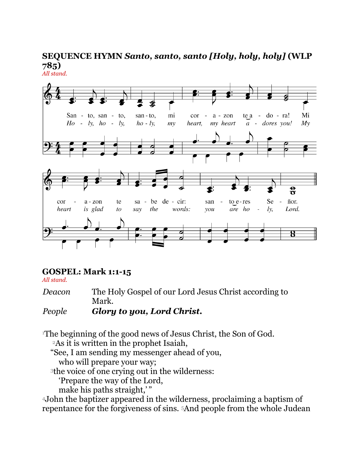#### **SEQUENCE HYMN** *Santo, santo, santo [Holy, holy, holy]* **(WLP 785)** *All stand.*



#### **GOSPEL: Mark 1:1-15**

*All stand.*

*Deacon* The Holy Gospel of our Lord Jesus Christ according to Mark.

#### *People Glory to you, Lord Christ.*

<sup>1</sup>The beginning of the good news of Jesus Christ, the Son of God.

<sup>2</sup>As it is written in the prophet Isaiah,

"See, I am sending my messenger ahead of you,

who will prepare your way;

<sup>3</sup>the voice of one crying out in the wilderness:

'Prepare the way of the Lord,

make his paths straight,"

<sup>4</sup>John the baptizer appeared in the wilderness, proclaiming a baptism of repentance for the forgiveness of sins. 5And people from the whole Judean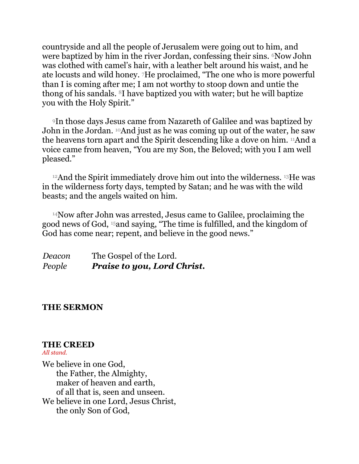countryside and all the people of Jerusalem were going out to him, and were baptized by him in the river Jordan, confessing their sins. <sup>6</sup>Now John was clothed with camel's hair, with a leather belt around his waist, and he ate locusts and wild honey. 7He proclaimed, "The one who is more powerful than I is coming after me; I am not worthy to stoop down and untie the thong of his sandals. 8I have baptized you with water; but he will baptize you with the Holy Spirit."

<sup>9</sup>In those days Jesus came from Nazareth of Galilee and was baptized by John in the Jordan. <sup>10</sup>And just as he was coming up out of the water, he saw the heavens torn apart and the Spirit descending like a dove on him. 11And a voice came from heaven, "You are my Son, the Beloved; with you I am well pleased."

<sup>12</sup>And the Spirit immediately drove him out into the wilderness. 13He was in the wilderness forty days, tempted by Satan; and he was with the wild beasts; and the angels waited on him.

<sup>14</sup>Now after John was arrested, Jesus came to Galilee, proclaiming the good news of God, 15and saying, "The time is fulfilled, and the kingdom of God has come near; repent, and believe in the good news."

*Deacon* The Gospel of the Lord. *People Praise to you, Lord Christ.*

#### **THE SERMON**

#### **THE CREED**

#### *All stand.*

We believe in one God, the Father, the Almighty, maker of heaven and earth, of all that is, seen and unseen. We believe in one Lord, Jesus Christ, the only Son of God,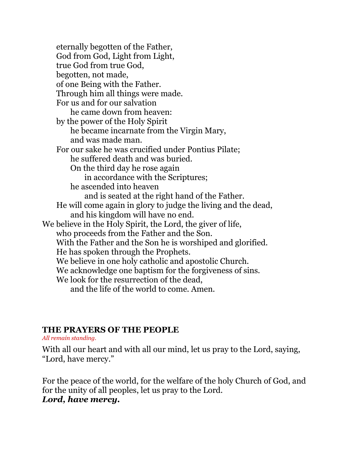eternally begotten of the Father, God from God, Light from Light, true God from true God, begotten, not made, of one Being with the Father. Through him all things were made. For us and for our salvation he came down from heaven: by the power of the Holy Spirit he became incarnate from the Virgin Mary, and was made man. For our sake he was crucified under Pontius Pilate; he suffered death and was buried. On the third day he rose again in accordance with the Scriptures; he ascended into heaven and is seated at the right hand of the Father. He will come again in glory to judge the living and the dead, and his kingdom will have no end. We believe in the Holy Spirit, the Lord, the giver of life, who proceeds from the Father and the Son. With the Father and the Son he is worshiped and glorified. He has spoken through the Prophets. We believe in one holy catholic and apostolic Church. We acknowledge one baptism for the forgiveness of sins. We look for the resurrection of the dead, and the life of the world to come. Amen.

#### **THE PRAYERS OF THE PEOPLE**

*All remain standing.*

With all our heart and with all our mind, let us pray to the Lord, saying, "Lord, have mercy."

For the peace of the world, for the welfare of the holy Church of God, and for the unity of all peoples, let us pray to the Lord. *Lord, have mercy.*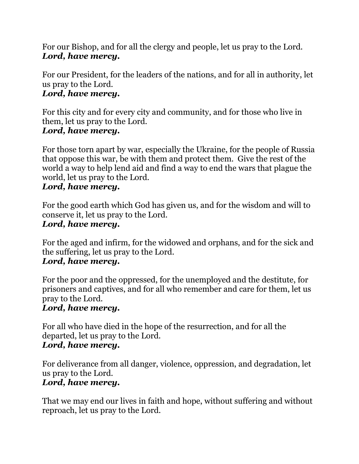For our Bishop, and for all the clergy and people, let us pray to the Lord. *Lord, have mercy.*

For our President, for the leaders of the nations, and for all in authority, let us pray to the Lord.

### *Lord, have mercy.*

For this city and for every city and community, and for those who live in them, let us pray to the Lord. *Lord, have mercy.*

#### For those torn apart by war, especially the Ukraine, for the people of Russia that oppose this war, be with them and protect them. Give the rest of the world a way to help lend aid and find a way to end the wars that plague the world, let us pray to the Lord.

### *Lord, have mercy.*

For the good earth which God has given us, and for the wisdom and will to conserve it, let us pray to the Lord.

### *Lord, have mercy.*

For the aged and infirm, for the widowed and orphans, and for the sick and the suffering, let us pray to the Lord.

### *Lord, have mercy.*

For the poor and the oppressed, for the unemployed and the destitute, for prisoners and captives, and for all who remember and care for them, let us pray to the Lord.

### *Lord, have mercy.*

For all who have died in the hope of the resurrection, and for all the departed, let us pray to the Lord.

### *Lord, have mercy.*

For deliverance from all danger, violence, oppression, and degradation, let us pray to the Lord.

### *Lord, have mercy.*

That we may end our lives in faith and hope, without suffering and without reproach, let us pray to the Lord.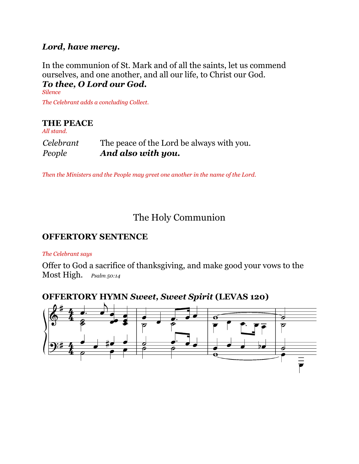### *Lord, have mercy.*

#### In the communion of St. Mark and of all the saints, let us commend ourselves, and one another, and all our life, to Christ our God. *To thee, O Lord our God.*

*Silence The Celebrant adds a concluding Collect.*

### **THE PEACE**

| People     | And also with you.                        |
|------------|-------------------------------------------|
| Celebrant  | The peace of the Lord be always with you. |
| All stand. |                                           |

*Then the Ministers and the People may greet one another in the name of the Lord.*

## The Holy Communion

#### **OFFERTORY SENTENCE**

#### *The Celebrant says*

Offer to God a sacrifice of thanksgiving, and make good your vows to the Most High. *Psalm 50:14*

### **OFFERTORY HYMN** *Sweet, Sweet Spirit* **(LEVAS 120)**

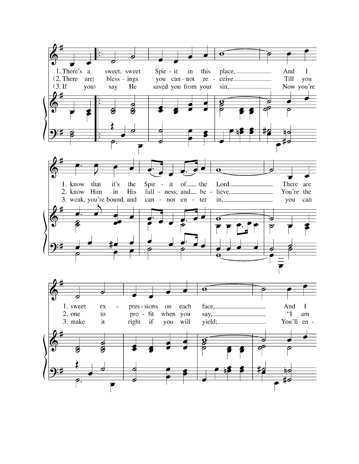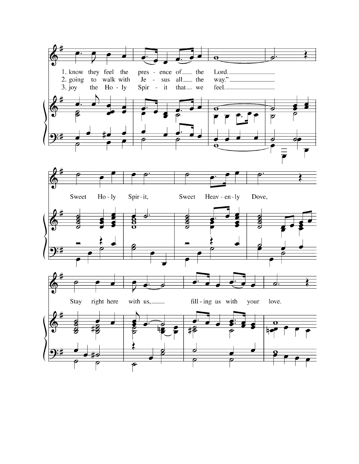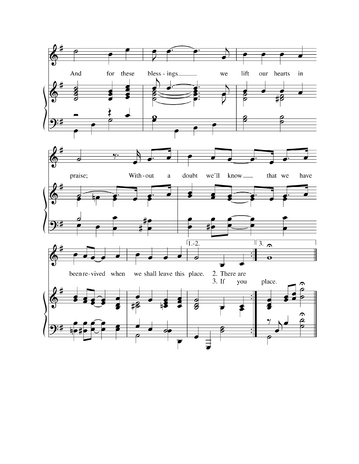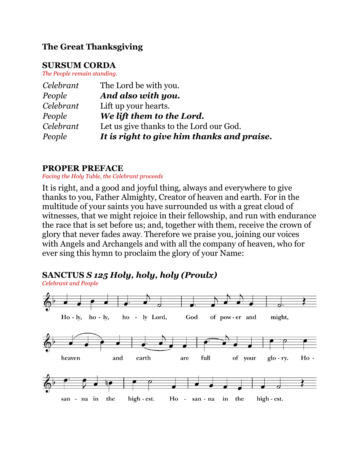### **The Great Thanksgiving**

#### **SURSUM CORDA**

*The People remain standing.*

| Celebrant | The Lord be with you.                      |
|-----------|--------------------------------------------|
| People    | And also with you.                         |
| Celebrant | Lift up your hearts.                       |
| People    | We lift them to the Lord.                  |
| Celebrant | Let us give thanks to the Lord our God.    |
| People    | It is right to give him thanks and praise. |

### **PROPER PREFACE**

*Facing the Holy Table, the Celebrant proceeds*

It is right, and a good and joyful thing, always and everywhere to give thanks to you, Father Almighty, Creator of heaven and earth. For in the multitude of your saints you have surrounded us with a great cloud of witnesses, that we might rejoice in their fellowship, and run with endurance the race that is set before us; and, together with them, receive the crown of glory that never fades away. Therefore we praise you, joining our voices with Angels and Archangels and with all the company of heaven, who for ever sing this hymn to proclaim the glory of your Name:

### **SANCTUS** *S 125 Holy, holy, holy (Proulx)*

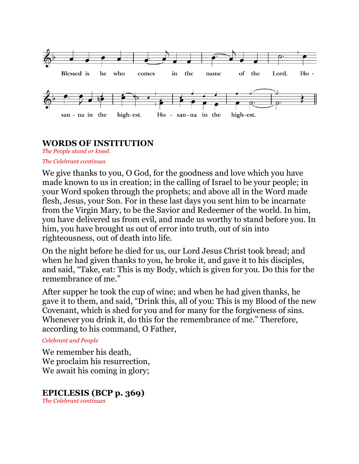

### **WORDS OF INSTITUTION**

*The People stand or kneel.*

#### *The Celebrant continues*

We give thanks to you, O God, for the goodness and love which you have made known to us in creation; in the calling of Israel to be your people; in your Word spoken through the prophets; and above all in the Word made flesh, Jesus, your Son. For in these last days you sent him to be incarnate from the Virgin Mary, to be the Savior and Redeemer of the world. In him, you have delivered us from evil, and made us worthy to stand before you. In him, you have brought us out of error into truth, out of sin into righteousness, out of death into life.

On the night before he died for us, our Lord Jesus Christ took bread; and when he had given thanks to you, he broke it, and gave it to his disciples, and said, "Take, eat: This is my Body, which is given for you. Do this for the remembrance of me."

After supper he took the cup of wine; and when he had given thanks, he gave it to them, and said, "Drink this, all of you: This is my Blood of the new Covenant, which is shed for you and for many for the forgiveness of sins. Whenever you drink it, do this for the remembrance of me." Therefore, according to his command, O Father,

#### *Celebrant and People*

We remember his death, We proclaim his resurrection, We await his coming in glory;

### **EPICLESIS (BCP p. 369)**

*The Celebrant continues*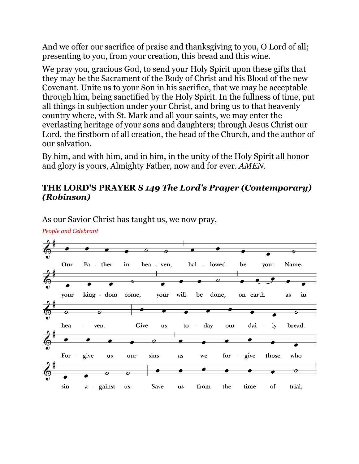And we offer our sacrifice of praise and thanksgiving to you, O Lord of all; presenting to you, from your creation, this bread and this wine.

We pray you, gracious God, to send your Holy Spirit upon these gifts that they may be the Sacrament of the Body of Christ and his Blood of the new Covenant. Unite us to your Son in his sacrifice, that we may be acceptable through him, being sanctified by the Holy Spirit. In the fullness of time, put all things in subjection under your Christ, and bring us to that heavenly country where, with St. Mark and all your saints, we may enter the everlasting heritage of your sons and daughters; through Jesus Christ our Lord, the firstborn of all creation, the head of the Church, and the author of our salvation.

By him, and with him, and in him, in the unity of the Holy Spirit all honor and glory is yours, Almighty Father, now and for ever. *AMEN*.

### **THE LORD'S PRAYER** *S 149 The Lord's Prayer (Contemporary) (Robinson)*



As our Savior Christ has taught us, we now pray,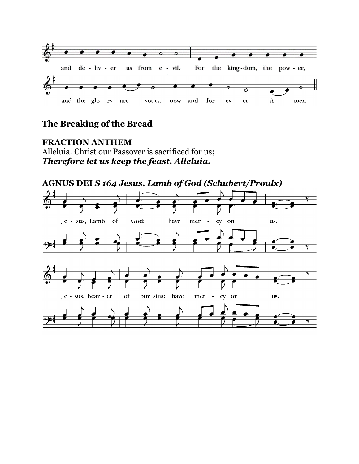

### **The Breaking of the Bread**

#### **FRACTION ANTHEM** Alleluia. Christ our Passover is sacrificed for us; *Therefore let us keep the feast. Alleluia.*

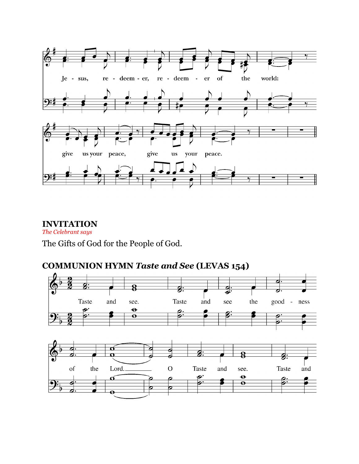

#### **INVITATION**

*The Celebrant says*

The Gifts of God for the People of God.

### **COMMUNION HYMN** *Taste and See* **(LEVAS 154)**

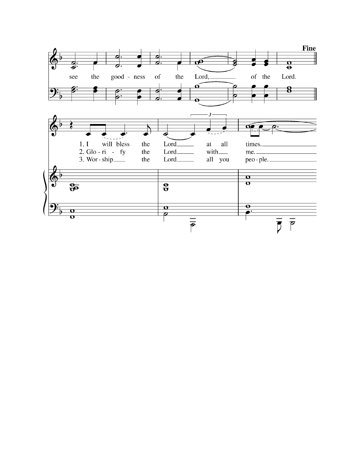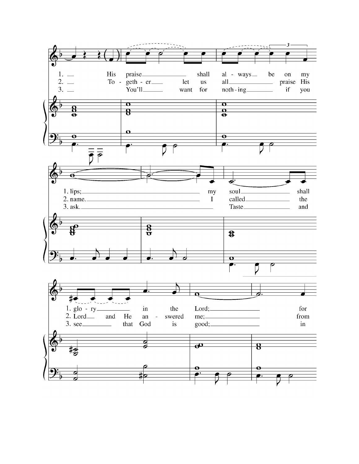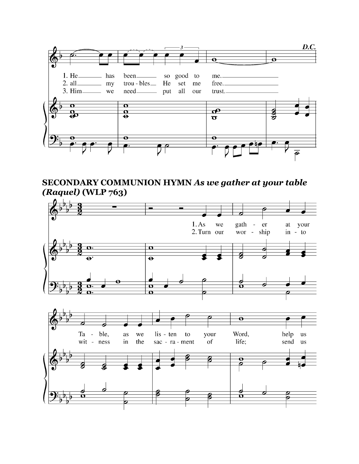

### **SECONDARY COMMUNION HYMN** *As we gather at your table (Raquel)* **(WLP 763)**

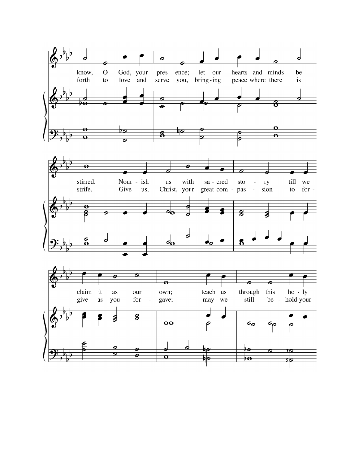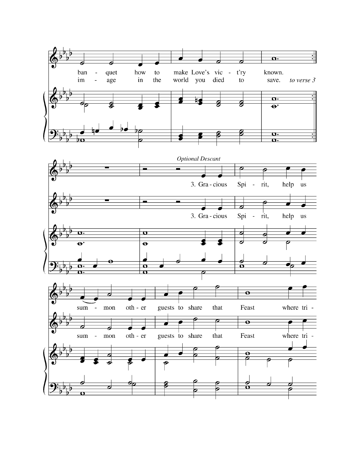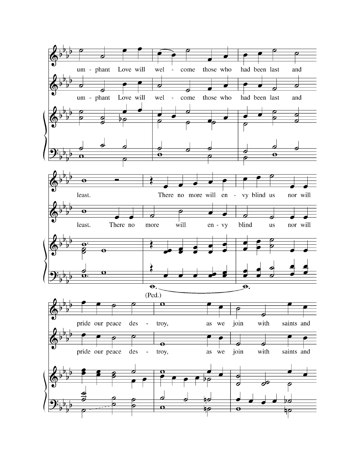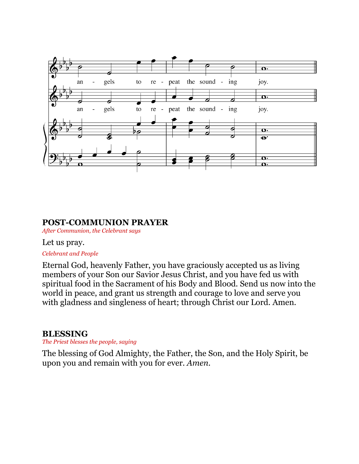

#### **POST-COMMUNION PRAYER**

*After Communion, the Celebrant says*

#### Let us pray.

#### *Celebrant and People*

Eternal God, heavenly Father, you have graciously accepted us as living members of your Son our Savior Jesus Christ, and you have fed us with spiritual food in the Sacrament of his Body and Blood. Send us now into the world in peace, and grant us strength and courage to love and serve you with gladness and singleness of heart; through Christ our Lord. Amen.

#### **BLESSING**

*The Priest blesses the people, saying*

The blessing of God Almighty, the Father, the Son, and the Holy Spirit, be upon you and remain with you for ever. *Amen.*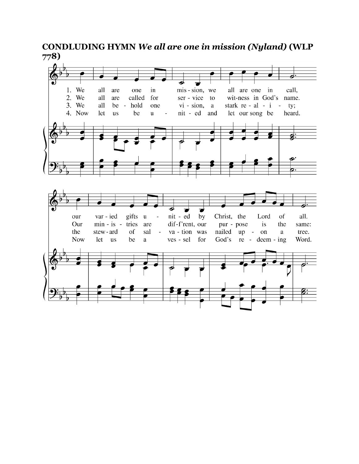**CONDLUDING HYMN** *We all are one in mission (Nyland)* **(WLP 778)**